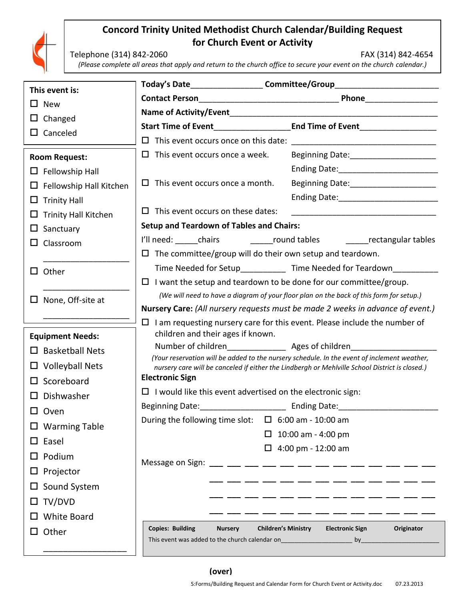

## **Concord Trinity United Methodist Church Calendar/Building Request for Church Event or Activity**

Telephone (314) 842-2060 FAX (314) 842-4654

*(Please complete all areas that apply and return to the church office to secure your event on the church calendar.)*

| This event is:                                                                 | Today's Date <b>Committee/Group</b>                                                                                                                                             |                                                                                  |
|--------------------------------------------------------------------------------|---------------------------------------------------------------------------------------------------------------------------------------------------------------------------------|----------------------------------------------------------------------------------|
| $\square$ New                                                                  |                                                                                                                                                                                 |                                                                                  |
|                                                                                |                                                                                                                                                                                 |                                                                                  |
| $\Box$ Changed<br>$\Box$ Canceled                                              |                                                                                                                                                                                 | Start Time of Event End Time of Event                                            |
|                                                                                |                                                                                                                                                                                 |                                                                                  |
| <b>Room Request:</b>                                                           | $\Box$ This event occurs once a week.                                                                                                                                           |                                                                                  |
| $\Box$ Fellowship Hall                                                         |                                                                                                                                                                                 |                                                                                  |
| $\Box$ Fellowship Hall Kitchen                                                 | $\Box$ This event occurs once a month.                                                                                                                                          |                                                                                  |
| $\Box$ Trinity Hall                                                            |                                                                                                                                                                                 |                                                                                  |
| $\Box$ Trinity Hall Kitchen                                                    | $\Box$ This event occurs on these dates:                                                                                                                                        |                                                                                  |
| Sanctuary                                                                      | <b>Setup and Teardown of Tables and Chairs:</b>                                                                                                                                 |                                                                                  |
| $\Box$ Classroom                                                               |                                                                                                                                                                                 | I'll need: chairs chairs chairs cound tables changular tables                    |
|                                                                                | $\Box$ The committee/group will do their own setup and teardown.                                                                                                                |                                                                                  |
| Other<br>$\Box$                                                                |                                                                                                                                                                                 | Time Needed for Setup______________ Time Needed for Teardown_________            |
|                                                                                | $\Box$ I want the setup and teardown to be done for our committee/group.                                                                                                        |                                                                                  |
| $\Box$ None, Off-site at                                                       | (We will need to have a diagram of your floor plan on the back of this form for setup.)                                                                                         |                                                                                  |
| Nursery Care: (All nursery requests must be made 2 weeks in advance of event.) |                                                                                                                                                                                 |                                                                                  |
|                                                                                | I am requesting nursery care for this event. Please include the number of<br>$\Box$<br>children and their ages if known.                                                        |                                                                                  |
| <b>Equipment Needs:</b>                                                        | Number of children________________________ Ages of children_____________________<br>(Your reservation will be added to the nursery schedule. In the event of inclement weather, |                                                                                  |
| $\square$ Basketball Nets                                                      |                                                                                                                                                                                 |                                                                                  |
| $\Box$ Volleyball Nets                                                         | nursery care will be canceled if either the Lindbergh or Mehlville School District is closed.)                                                                                  |                                                                                  |
| $\square$ Scoreboard                                                           | <b>Electronic Sign</b>                                                                                                                                                          |                                                                                  |
| $\square$ Dishwasher                                                           | $\Box$ I would like this event advertised on the electronic sign:                                                                                                               |                                                                                  |
| $\square$ Oven                                                                 |                                                                                                                                                                                 | Beginning Date: _________________________________ Ending Date: _________________ |
| $\Box$ Warming Table                                                           | During the following time slot:                                                                                                                                                 | $\Box$ 6:00 am - 10:00 am                                                        |
| $\square$ Easel                                                                |                                                                                                                                                                                 | 10:00 am - 4:00 pm                                                               |
| Podium<br>$\Box$                                                               |                                                                                                                                                                                 | $\Box$ 4:00 pm - 12:00 am                                                        |
| Projector<br>$\Box$                                                            |                                                                                                                                                                                 |                                                                                  |
| Sound System<br>ப                                                              |                                                                                                                                                                                 |                                                                                  |
| $\Box$ TV/DVD                                                                  |                                                                                                                                                                                 | _ ___ __ __ __                                                                   |
| <b>White Board</b>                                                             |                                                                                                                                                                                 |                                                                                  |
| $\Box$ Other                                                                   | <b>Copies: Building</b><br><b>Nursery</b>                                                                                                                                       | <b>Children's Ministry</b><br><b>Electronic Sign</b><br>Originator               |
|                                                                                |                                                                                                                                                                                 |                                                                                  |
|                                                                                |                                                                                                                                                                                 |                                                                                  |